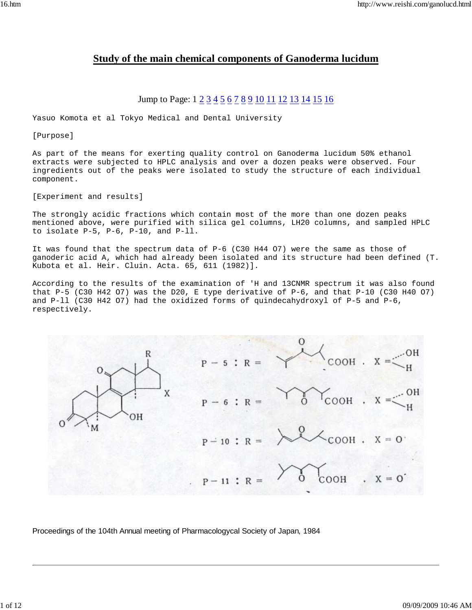# **Study of the main chemical components of Ganoderma lucidum**

# Jump to Page:  $1 \ 2 \ 3 \ 4 \ 5 \ 6 \ 7 \ 8 \ 9 \ 10 \ 11 \ 12 \ 13 \ 14 \ 15 \ 16$

Yasuo Komota et al Tokyo Medical and Dental University

[Purpose]

As part of the means for exerting quality control on Ganoderma lucidum 50% ethanol extracts were subjected to HPLC analysis and over a dozen peaks were observed. Four ingredients out of the peaks were isolated to study the structure of each individual component.

[Experiment and results]

The strongly acidic fractions which contain most of the more than one dozen peaks mentioned above, were purified with silica gel columns, LH20 columns, and sampled HPLC to isolate P-5, P-6, P-10, and P-ll.

It was found that the spectrum data of P-6 (C30 H44 O7) were the same as those of ganoderic acid A, which had already been isolated and its structure had been defined (T. Kubota et al. Heir. Cluin. Acta. 65, 611 (1982)].

According to the results of the examination of 'H and 13CNMR spectrum it was also found that P-5 (C30 H42 O7) was the D20, E type derivative of P-6, and that P-10 (C30 H40 O7) and P-ll (C30 H42 O7) had the oxidized forms of quindecahydroxyl of P-5 and P-6, respectively.



Proceedings of the 104th Annual meeting of Pharmacologycal Society of Japan, 1984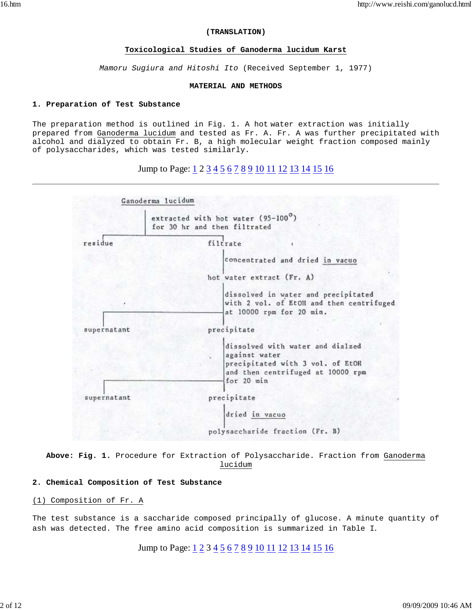#### **(TRANSLATION)**

## **Toxicological Studies of Ganoderma lucidum Karst**

*Mamoru Sugiura and Hitoshi Ito* (Received September 1, 1977)

### **MATERIAL AND METHODS**

### **1. Preparation of Test Substance**

The preparation method is outlined in Fig. 1. A hot water extraction was initially prepared from Ganoderma lucidum and tested as Fr. A. Fr. A was further precipitated with alcohol and dialyzed to obtain Fr. B, a high molecular weight fraction composed mainly of polysaccharides, which was tested similarly.

# Jump to Page: 1 2 3 4 5 6 7 8 9 10 11 12 13 14 15 16



**Above: Fig. 1.** Procedure for Extraction of Polysaccharide. Fraction from Ganoderma lucidum

## **2. Chemical Composition of Test Substance**

## (1) Composition of Fr. A

The test substance is a saccharide composed principally of glucose. A minute quantity of ash was detected. The free amino acid composition is summarized in Table I.

Jump to Page:  $\underline{1}$  2 3  $\underline{4}$  5  $\underline{6}$  7  $\underline{8}$  9  $\underline{10}$   $\underline{11}$   $\underline{12}$   $\underline{13}$   $\underline{14}$   $\underline{15}$   $\underline{16}$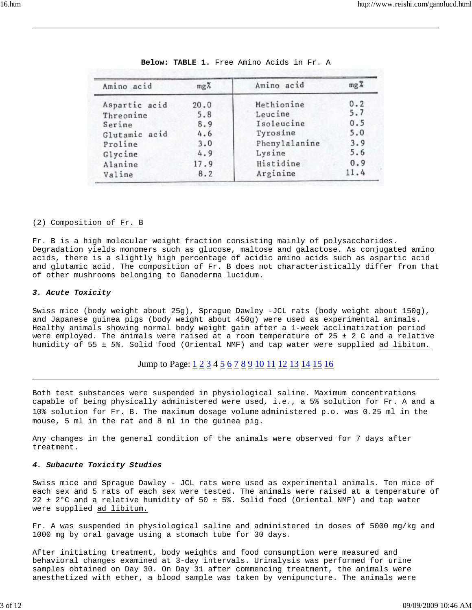| Amino acid    | $mg\%$ | Amino acid    | $mg\frac{9}{6}$ |
|---------------|--------|---------------|-----------------|
| Aspartic acid | 20.0   | Methionine    | 0.2             |
| Threonine     | 5.8    | Leucine       | 5.7             |
| Serine        | 8.9    | Isoleucine    | 0.5             |
| Glutamic acid | 4.6    | Tyrosine      | 5.0             |
| Proline       | 3.0    | Phenylalanine | 3.9             |
| Glycine       | 4.9    | Lysine        | 5.6             |
| Alanine       | 17.9   | Histidine     | 0.9             |
| Valine        | 8.2    | Arginine      | 11.4            |

| Below: TABLE 1. Free Amino Acids in Fr. A |  |
|-------------------------------------------|--|
|-------------------------------------------|--|

### (2) Composition of Fr. B

Fr. B is a high molecular weight fraction consisting mainly of polysaccharides. Degradation yields monomers such as glucose, maltose and galactose. As conjugated amino acids, there is a slightly high percentage of acidic amino acids such as aspartic acid and glutamic acid. The composition of Fr. B does not characteristically differ from that of other mushrooms belonging to Ganoderma lucidum.

#### *3. Acute Toxicity*

Swiss mice (body weight about 25g), Sprague Dawley -JCL rats (body weight about 150g), and Japanese guinea pigs (body weight about 450g) were used as experimental animals. Healthy animals showing normal body weight gain after a 1-week acclimatization period were employed. The animals were raised at a room temperature of  $25 \pm 2$  C and a relative humidity of 55 ± *5%.* Solid food (Oriental NMF) and tap water were supplied ad libitum.

## Jump to Page:  $1\overline{2}$   $\overline{3}$   $\overline{4}$   $\overline{5}$   $\overline{6}$   $\overline{7}$   $\overline{8}$   $\overline{9}$   $\overline{10}$   $\overline{11}$   $\overline{12}$   $\overline{13}$   $\overline{14}$   $\overline{15}$   $\overline{16}$

Both test substances were suspended in physiological saline. Maximum concentrations capable of being physically administered were used, i.e., a 5% solution for Fr. A and a 10% solution for Fr. B. The maximum dosage volume administered p.o. was 0.25 ml in the mouse, 5 ml in the rat and 8 ml in the guinea pig.

Any changes in the general condition of the animals were observed for 7 days after treatment.

#### *4. Subacute Toxicity Studies*

Swiss mice and Sprague Dawley - JCL rats were used as experimental animals. Ten mice of each sex and 5 rats of each sex were tested. The animals were raised at a temperature of 22 ± 2°C and a relative humidity of 50 ± 5%. Solid food (Oriental NMF) and tap water were supplied ad libitum.

Fr. A was suspended in physiological saline and administered in doses of 5000 mg/kg and 1000 mg by oral gavage using a stomach tube for 30 days.

After initiating treatment, body weights and food consumption were measured and behavioral changes examined at 3-day intervals. Urinalysis was performed for urine samples obtained on Day 30. On Day 31 after commencing treatment, the animals were anesthetized with ether, a blood sample was taken by venipuncture. The animals were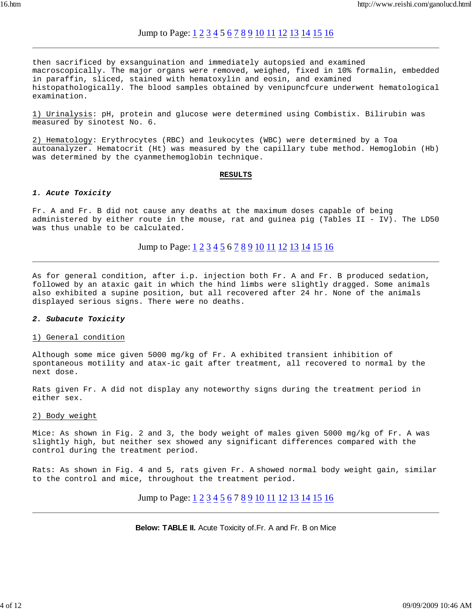## Jump to Page: 1 2 3 4 5 6 7 8 9 10 11 12 13 14 15 16

then sacrificed by exsanguination and immediately autopsied and examined macroscopically. The major organs were removed, weighed, fixed in 10% formalin, embedded in paraffin, sliced, stained with hematoxylin and eosin, and examined histopathologically. The blood samples obtained by venipuncfcure underwent hematological examination.

1) Urinalysis: pH, protein and glucose were determined using Combistix. Bilirubin was measured by sinotest No. 6.

2) Hematology: Erythrocytes (RBC) and leukocytes (WBC) were determined by a Toa autoanalyzer. Hematocrit (Ht) was measured by the capillary tube method. Hemoglobin (Hb) was determined by the cyanmethemoglobin technique.

#### **RESULTS**

#### *1. Acute Toxicity*

Fr. A and Fr. B did not cause any deaths at the maximum doses capable of being administered by either route in the mouse, rat and guinea pig (Tables II - IV). The LD50 was thus unable to be calculated.

Jump to Page: 1 2 3 4 5 6 7 8 9 10 11 12 13 14 15 16

As for general condition, after i.p. injection both Fr. A and Fr. B produced sedation, followed by an ataxic gait in which the hind limbs were slightly dragged. Some animals also exhibited a supine position, but all recovered after 24 hr. None of the animals displayed serious signs. There were no deaths.

#### *2. Subacute Toxicity*

#### 1) General condition

Although some mice given 5000 mg/kg of Fr. A exhibited transient inhibition of spontaneous motility and atax-ic gait after treatment, all recovered to normal by the next dose.

Rats given Fr. A did not display any noteworthy signs during the treatment period in either sex.

#### 2) Body weight

Mice: As shown in Fig. 2 and 3, the body weight of males given 5000 mg/kg of Fr. A was slightly high, but neither sex showed any significant differences compared with the control during the treatment period.

Rats: As shown in Fig. 4 and 5, rats given Fr. A showed normal body weight gain, similar to the control and mice, throughout the treatment period.

Jump to Page:  $1\overline{2}$   $\overline{3}$   $\overline{4}$   $\overline{5}$   $\overline{6}$   $\overline{7}$   $\overline{8}$   $\overline{9}$   $\overline{10}$   $\overline{11}$   $\overline{12}$   $\overline{13}$   $\overline{14}$   $\overline{15}$   $\overline{16}$ 

### **Below: TABLE II.** Acute Toxicity of.Fr. A and Fr. B on Mice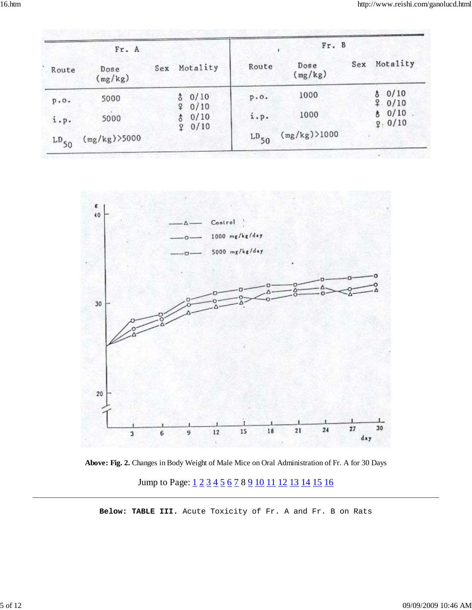|               | Fr. A           |     |                                        |           | Fr. B           |     |                 |
|---------------|-----------------|-----|----------------------------------------|-----------|-----------------|-----|-----------------|
| Route         | Dose<br>(mg/kg) | Sex | Motality                               | Route     | Dose<br>(mg/kg) | Sex | Motality        |
| p.0.          | 5000            |     | 80/10                                  | p.0.      | 1000            |     | 80/10<br>9.0/10 |
| $i \cdot p$ . | 5000            |     | 0/10<br><b>Q</b><br>0/10<br>\$<br>0/10 | i.p.      | 1000            |     | 80/10<br>9:0/10 |
| $LD_{50}$     | $(mg/kg)$ >5000 |     | $\mathfrak{P}$                         | $LD_{50}$ | (mg/kg) > 1000  |     |                 |



**Above: Fig. 2.** Changes in Body Weight of Male Mice on Oral Administration of Fr. A for 30 Days Jump to Page:  $1\overline{2}$   $3\overline{4}$   $5\overline{6}$   $7$   $8$   $9$   $10$   $11$   $12$   $13$   $14$   $15$   $16$ 

**Below: TABLE III.** Acute Toxicity of Fr. A and Fr. B on Rats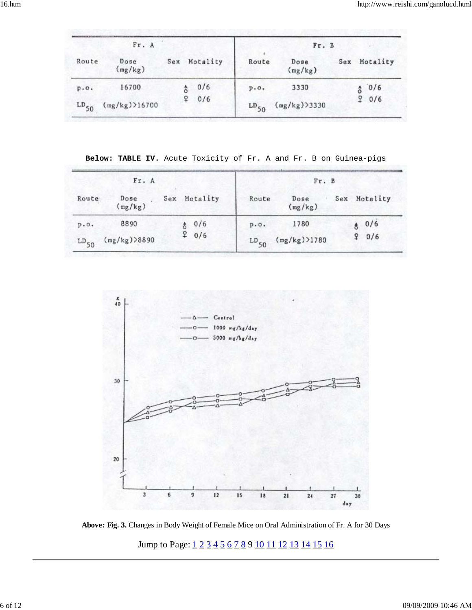**Below: TABLE IV.** Acute Toxicity of Fr. A and Fr. B on Guinea-pigs

|           | Fr. A           |               |              |           | Fr. B           |     |          |
|-----------|-----------------|---------------|--------------|-----------|-----------------|-----|----------|
| Route     | Dose<br>(mg/kg) |               | Sex Motality | Route     | Dose<br>(mg/kg) | Sex | Motality |
| p.0.      | 8890            |               | 80/6         | p.0.      | 1780            |     | 80/6     |
| $LD_{50}$ | (mg/kg) > 8890  | $\frac{9}{4}$ | 0/6          | $LD_{50}$ | $(mg/kg)$ )1780 |     | 90/6     |



**Above: Fig. 3.** Changes in Body Weight of Female Mice on Oral Administration of Fr. A for 30 Days

Jump to Page:  $\underline{1}$  2 3 4 5 6 7 8 9 10 11 12 13 14 15 16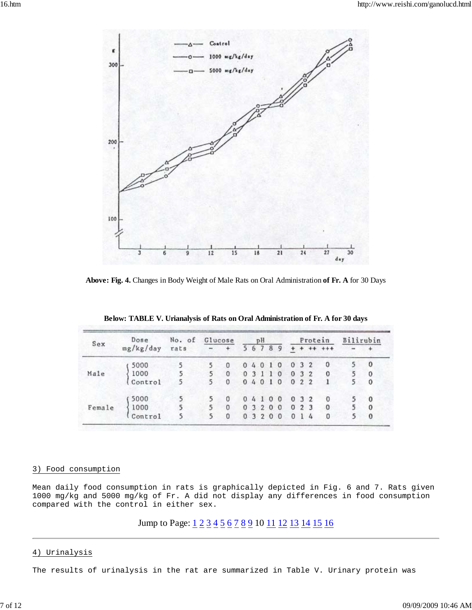

**Above: Fig. 4.** Changes in Body Weight of Male Rats on Oral Administration **of Fr. A** for 30 Days

| Sex    | Dose      | No. of | Glucose |          |       | pH     |       | Protein  |              |  | Bilirubin      |  |          |
|--------|-----------|--------|---------|----------|-------|--------|-------|----------|--------------|--|----------------|--|----------|
|        | mg/kg/day | rats   | $- +$   |          | 56789 |        |       |          |              |  | $+ + + + +$    |  |          |
|        | 5000      | 5      | 5       | 0        |       | 04010  |       |          | 032          |  | $\Omega$       |  | $\bf{0}$ |
| Male   | 1000      | 5      | 5       | $\Omega$ |       | 03110  |       | 032      |              |  | $\overline{0}$ |  | $\theta$ |
|        | Control   | 5      | 5       | $\Omega$ |       | 0.4010 |       | 022      |              |  |                |  | $\Omega$ |
|        | 5000      |        | 5       | 0        |       | 04100  |       |          | 032          |  | $\overline{0}$ |  | $\bf{0}$ |
| Female | 1000      | 5      | 5       | $\Omega$ |       |        | 03200 | 023      |              |  | $^{\circ}$     |  | $\Omega$ |
|        | Control   | 5      | 5       | $\Omega$ |       | 03200  |       | $\Omega$ | $\mathbf{1}$ |  | $\Omega$       |  | $\bf{0}$ |

**Below: TABLE V. Urianalysis of Rats on Oral Administration of Fr. A for 30 days**

## 3) Food consumption

Mean daily food consumption in rats is graphically depicted in Fig. 6 and 7. Rats given 1000 mg/kg and 5000 mg/kg of Fr. A did not display any differences in food consumption compared with the control in either sex.

# Jump to Page:  $1\overline{2}$   $\overline{3}$   $\overline{4}$   $\overline{5}$   $\overline{6}$   $\overline{7}$   $\overline{8}$   $\overline{9}$   $\overline{10}$   $\overline{11}$   $\overline{12}$   $\overline{13}$   $\overline{14}$   $\overline{15}$   $\overline{16}$

## 4) Urinalysis

The results of urinalysis in the rat are summarized in Table V. Urinary protein was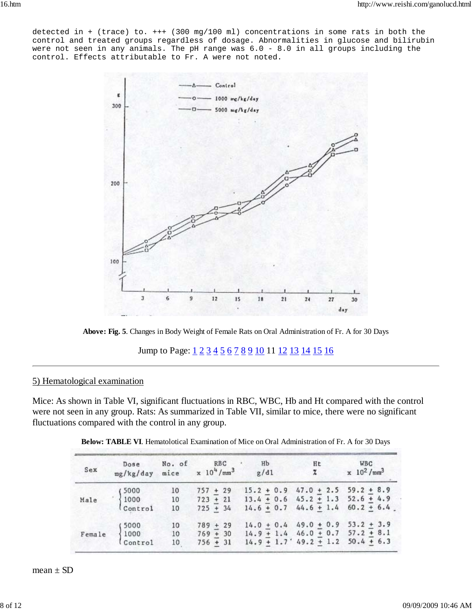detected in + (trace) to. +++ (300 mg/100 ml) concentrations in some rats in both the control and treated groups regardless of dosage. Abnormalities in glucose and bilirubin were not seen in any animals. The pH range was 6.0 - 8.0 in all groups including the control. Effects attributable to Fr. A were not noted.



**Above: Fig. 5**. Changes in Body Weight of Female Rats on Oral Administration of Fr. A for 30 Days

Jump to Page:  $\underline{1}$  2 3 4 5 6 7 8 9 10 11 12 13 14 15 16

## 5) Hematological examination

Mice: As shown in Table VI, significant fluctuations in RBC, WBC, Hb and Ht compared with the control were not seen in any group. Rats: As summarized in Table VII, similar to mice, there were no significant fluctuations compared with the control in any group.

| Sex  | Dose<br>mg/kg/day                                                                                                | No. of | No. of RBC<br>mice $x 10^{4}/\text{mm}^{3}$ | Hb<br>g/d1                             | Ht<br>$\mathbf{x}$                 | WBC<br>$x \frac{10^2}{\text{mm}^3}$    |
|------|------------------------------------------------------------------------------------------------------------------|--------|---------------------------------------------|----------------------------------------|------------------------------------|----------------------------------------|
|      |                                                                                                                  | 10     | $757 + 29$                                  | $15.2 + 0.9$ 47.0 + 2.5 59.2 + 8.9     |                                    |                                        |
| Male |                                                                                                                  | 10     | $723 + 21$                                  | $13.4 + 0.6$ 45.2 + 1.3 52.6 + 4.9     |                                    |                                        |
|      | $\begin{array}{c} \begin{array}{c} \text{5000} \\ \text{1000} \\ \text{Control} \end{array} \end{array}$         | 10     | $725 + 34$                                  |                                        |                                    | $14.6 + 0.7$ $44.6 + 1.4$ $60.2 + 6.4$ |
|      |                                                                                                                  | 10     | $789 + 29$                                  |                                        | $14.0 + 0.4$ 49.0 + 0.9 53.2 + 3.9 |                                        |
|      | $\begin{array}{cc}\n\texttt{Female} & \begin{cases}\n5000 \\ 1000 \\ \texttt{Control}\n\end{cases}\n\end{array}$ | 10     | $769 + 30$                                  | $14.9 + 1.4$ $46.0 + 0.7$ $57.2 + 8.1$ |                                    |                                        |
|      |                                                                                                                  | 10     | $756 + 31$                                  |                                        | $14.9 + 1.7$ 49.2 + 1.2 50.4 + 6.3 |                                        |

**Below: TABLE VI**. Hematolotical Examination of Mice on Oral Administration of Fr. A for 30 Days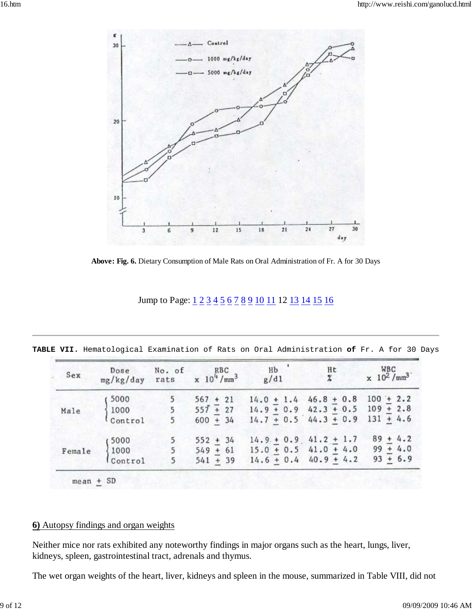

**Above: Fig. 6.** Dietary Consumption of Male Rats on Oral Administration of Fr. A for 30 Days

| Jump to Page: 1 2 3 4 5 6 7 8 9 10 11 12 13 14 15 16 |
|------------------------------------------------------|
|------------------------------------------------------|

| Sex    |                                                    | Dose No. of RBC<br>mg/kg/day rats $x 10^{4}/mm^{3}$ | $\frac{Hb}{g/d1}$                                                                                      | $\frac{Ht}{x}$                      | $\times 10^2$ /mm <sup>3</sup> |
|--------|----------------------------------------------------|-----------------------------------------------------|--------------------------------------------------------------------------------------------------------|-------------------------------------|--------------------------------|
|        | 5000                                               | $567 + 21$                                          |                                                                                                        | $14.0 + 1.4$ $46.8 + 0.8$ 100 + 2.2 |                                |
| Male   | 1000                                               |                                                     | 5 $55\overline{t}$ + 27 14.9 + 0.9 42.3 + 0.5 109 + 2.8<br>5 600 + 34 14.7 + 0.5 44.3 + 0.9 131 + 4.6  |                                     |                                |
|        | Control                                            |                                                     | $600 + 34$ $14.7 + 0.5$ $44.3 + 0.9$ $131 + 4.6$                                                       |                                     |                                |
|        | 5000                                               | $552 + 34$                                          |                                                                                                        | $14.9 + 0.9$ , $41.2 + 1.7$         | $89 + 4.2$                     |
| Female |                                                    |                                                     |                                                                                                        |                                     |                                |
|        | $\begin{cases} 1000 \\ \text{Control} \end{cases}$ |                                                     | 5 $549 + 61$ $15.0 + 0.5$ $41.0 + 4.0$ $99 + 4.0$<br>5 $541 + 39$ $14.6 + 0.4$ $40.9 + 4.2$ $93 + 6.9$ |                                     |                                |

**TABLE VII.** Hematological Examination of Rats on Oral Administration **of** Fr. A for 30 Days

## **6)** Autopsy findings and organ weights

Neither mice nor rats exhibited any noteworthy findings in major organs such as the heart, lungs, liver, kidneys, spleen, gastrointestinal tract, adrenals and thymus.

The wet organ weights of the heart, liver, kidneys and spleen in the mouse, summarized in Table VIII, did not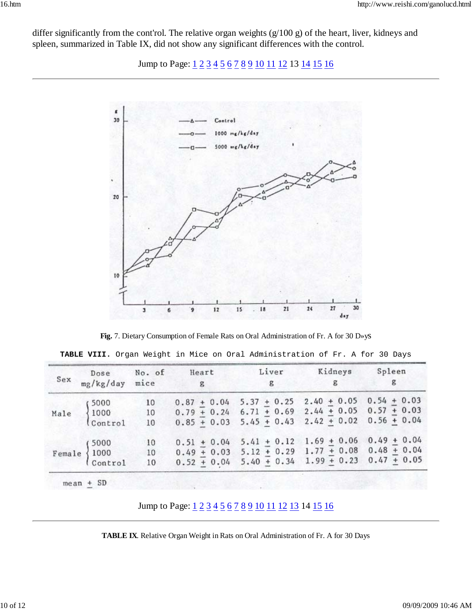differ significantly from the cont'rol. The relative organ weights (g/100 g) of the heart, liver, kidneys and spleen, summarized in Table IX, did not show any significant differences with the control.

Jump to Page:  $1\overline{2}$   $3\overline{4}$   $5\overline{6}$   $7\overline{8}$   $9\overline{10}$   $11$   $12$  13  $14$   $15$   $16$ 



**Fig.** 7. Dietary Consumption of Female Rats on Oral Administration of Fr. A for 30 D»ys

|  |  |  |  | TABLE VIII. Organ Weight in Mice on Oral Administration of Fr. A for 30 Days |  |  |  |
|--|--|--|--|------------------------------------------------------------------------------|--|--|--|
|--|--|--|--|------------------------------------------------------------------------------|--|--|--|

| Sex | Dose No. of<br>mg/kg/day mice                                                  |                                         | $\mathbf{g}$                                      | Heart Liver Kidneys<br>$\mathbf{g}$               | $\mathbf{g}$              | Spleen |
|-----|--------------------------------------------------------------------------------|-----------------------------------------|---------------------------------------------------|---------------------------------------------------|---------------------------|--------|
|     |                                                                                |                                         |                                                   | $0.87 + 0.04$ 5.37 + 0.25                         | $2.40 + 0.05$ 0.54 + 0.03 |        |
|     |                                                                                |                                         | $0.79 + 0.24$ 6.71 + 0.69 2.44 + 0.05 0.57 + 0.03 |                                                   |                           |        |
|     | Male $\begin{cases} 5000 & 10 \\ 1000 & 10 \\ \text{Control} & 10 \end{cases}$ |                                         |                                                   | $0.85 + 0.03$ 5.45 + 0.43                         | $2.42 + 0.02$ 0.56 + 0.04 |        |
|     |                                                                                | 10                                      |                                                   | $0.51 + 0.04$ 5.41 + 0.12 1.69 + 0.06 0.49 + 0.04 |                           |        |
|     |                                                                                |                                         |                                                   | $0.49 + 0.03$ 5.12 + 0.29 1.77 + 0.08 0.48 + 0.04 |                           |        |
|     | $\texttt{Female} \begin{cases} 5000 \\ 1000 \\ \texttt{Control} \end{cases}$   | $\begin{array}{c} 10 \\ 10 \end{array}$ |                                                   | $0.52 + 0.04$ 5.40 + 0.34 1.99 + 0.23 0.47 + 0.05 |                           |        |

Jump to Page:  $\underline{1}$  2 3 4 5 6 7 8 9 10 11 12 13 14 15 16

**TABLE IX**. Relative Organ Weight in Rats on Oral Administration of Fr. A for 30 Days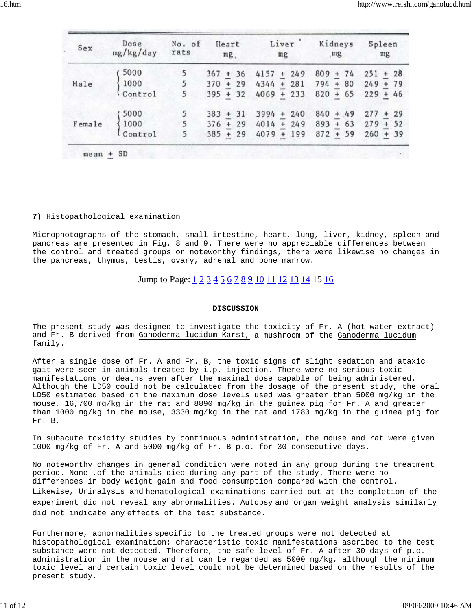| Sex    | Dose<br>mg/kg/day                                                              | No. of<br>rats | Heart<br>mg | Liver '<br>mg         | Kidneys<br>mg | Spleen<br>mg        |
|--------|--------------------------------------------------------------------------------|----------------|-------------|-----------------------|---------------|---------------------|
|        | 5000                                                                           | 5              | $367 + 36$  | $4157 + 249$          | $809 + 74$    | $251 + 28$          |
| Male   |                                                                                | 5              |             | $370 + 29$ 4344 + 281 | $794 + 80$    | $249 + 79$          |
|        | $\begin{cases} 1000 \\ \text{Control} \end{cases}$                             | 5 <sup>5</sup> | $395 + 32$  | $4069 + 233$          | $820 + 65$    | $229 + 46$          |
|        | 5000                                                                           | 5              | $383 + 31$  | $3994 + 240$          | $840 + 49$    | $277 + 29$          |
| Female | $\left\{\n \begin{array}{l}\n 1000 \\   \text{Control}\n \end{array}\n\right.$ | 5              |             | $376 + 29$ 4014 + 249 |               | $893 + 63$ 279 + 52 |
|        |                                                                                | $\overline{5}$ | $385 + 29$  | $4079 + 199$          | $872 + 59$    | $260 + 39$          |

#### **7)** Histopathological examination

Microphotographs of the stomach, small intestine, heart, lung, liver, kidney, spleen and pancreas are presented in Fig. 8 and 9. There were no appreciable differences between the control and treated groups or noteworthy findings, there were likewise no changes in the pancreas, thymus, testis, ovary, adrenal and bone marrow.

## Jump to Page:  $1\overline{2}$   $\overline{3}$   $\overline{4}$   $\overline{5}$   $\overline{6}$   $\overline{7}$   $\overline{8}$   $\overline{9}$   $\overline{10}$   $\overline{11}$   $\overline{12}$   $\overline{13}$   $\overline{14}$   $\overline{15}$   $\overline{16}$

#### **DISCUSSION**

The present study was designed to investigate the toxicity of Fr. A (hot water extract) and Fr. B derived from Ganoderma lucidum Karst, a mushroom of the Ganoderma lucidum family.

After a single dose of Fr. A and Fr. B, the toxic signs of slight sedation and ataxic gait were seen in animals treated by i.p. injection. There were no serious toxic manifestations or deaths even after the maximal dose capable of being administered. Although the LD50 could not be calculated from the dosage of the present study, the oral LD50 estimated based on the maximum dose levels used was greater than 5000 mg/kg in the mouse, 16,700 mg/kg in the rat and 8890 mg/kg in the guinea pig for Fr. A and greater than 1000 mg/kg in the mouse, 3330 mg/kg in the rat and 1780 mg/kg in the guinea pig for Fr. B.

In subacute toxicity studies by continuous administration, the mouse and rat were given 1000 mg/kg of Fr. A and 5000 mg/kg of Fr. B p.o. for 30 consecutive days.

No noteworthy changes in general condition were noted in any group during the treatment period. None .of the animals died during any part of the study. There were no differences in body weight gain and food consumption compared with the control. Likewise, Urinalysis and hematological examinations carried out at the completion of the experiment did not reveal any abnormalities. Autopsy and organ weight analysis similarly did not indicate any effects of the test substance.

Furthermore, abnormalities specific to the treated groups were not detected at histopathological examination; characteristic toxic manifestations ascribed to the test substance were not detected. Therefore, the safe level of Fr. A after 30 days of p.o. administration in the mouse and rat can be regarded as 5000 mg/kg, although the minimum toxic level and certain toxic level could not be determined based on the results of the present study.